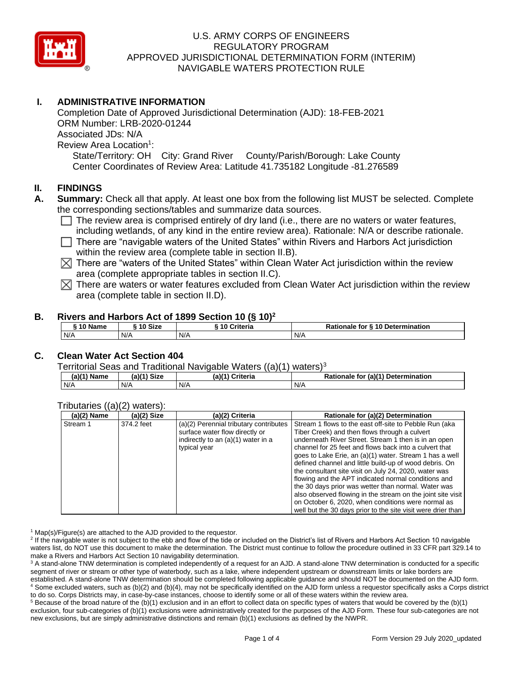

# **I. ADMINISTRATIVE INFORMATION**

Completion Date of Approved Jurisdictional Determination (AJD): 18-FEB-2021 ORM Number: LRB-2020-01244 Associated JDs: N/A Review Area Location<sup>1</sup>: State/Territory: OH City: Grand River County/Parish/Borough: Lake County Center Coordinates of Review Area: Latitude 41.735182 Longitude -81.276589

## **II. FINDINGS**

- **A. Summary:** Check all that apply. At least one box from the following list MUST be selected. Complete the corresponding sections/tables and summarize data sources.
	- $\Box$  The review area is comprised entirely of dry land (i.e., there are no waters or water features, including wetlands, of any kind in the entire review area). Rationale: N/A or describe rationale.
	- $\Box$  There are "navigable waters of the United States" within Rivers and Harbors Act jurisdiction within the review area (complete table in section II.B).
	- $\boxtimes$  There are "waters of the United States" within Clean Water Act jurisdiction within the review area (complete appropriate tables in section II.C).
	- $\mathbb X$  There are waters or water features excluded from Clean Water Act jurisdiction within the review area (complete table in section II.D).

### **B. Rivers and Harbors Act of 1899 Section 10 (§ 10)<sup>2</sup>**

| ົ 10 Name | ົ <sup>1</sup> 0 Size | Criteria<br>10 | Rationale for § 10 Determination |  |  |
|-----------|-----------------------|----------------|----------------------------------|--|--|
| N/A       | N/A                   | N/A            | N/A                              |  |  |

# **C. Clean Water Act Section 404**

Territorial Seas and Traditional Navigable Waters  $((a)(1)$  waters)<sup>3</sup>

| (a)(1) N<br>Name | <b>Size</b><br>(a)(1) | (a)(1)<br><b>Criteria</b> | (a)(1) Determination<br>Rationale<br>tor |  |
|------------------|-----------------------|---------------------------|------------------------------------------|--|
| N/A              | N/A                   | N/A                       | N/A                                      |  |

### Tributaries ((a)(2) waters):

| $(a)(2)$ Name | $(a)(2)$ Size | (a)(2) Criteria                        | Rationale for (a)(2) Determination                           |
|---------------|---------------|----------------------------------------|--------------------------------------------------------------|
| Stream 1      | 374.2 feet    | (a)(2) Perennial tributary contributes | Stream 1 flows to the east off-site to Pebble Run (aka       |
|               |               | surface water flow directly or         | Tiber Creek) and then flows through a culvert                |
|               |               | indirectly to an (a)(1) water in a     | underneath River Street. Stream 1 then is in an open         |
|               |               | typical year                           | channel for 25 feet and flows back into a culvert that       |
|               |               |                                        | goes to Lake Erie, an (a)(1) water. Stream 1 has a well      |
|               |               |                                        | defined channel and little build-up of wood debris. On       |
|               |               |                                        | the consultant site visit on July 24, 2020, water was        |
|               |               |                                        | flowing and the APT indicated normal conditions and          |
|               |               |                                        | the 30 days prior was wetter than normal. Water was          |
|               |               |                                        | also observed flowing in the stream on the joint site visit  |
|               |               |                                        | on October 6, 2020, when conditions were normal as           |
|               |               |                                        | well but the 30 days prior to the site visit were drier than |

 $1$  Map(s)/Figure(s) are attached to the AJD provided to the requestor.

<sup>2</sup> If the navigable water is not subject to the ebb and flow of the tide or included on the District's list of Rivers and Harbors Act Section 10 navigable waters list, do NOT use this document to make the determination. The District must continue to follow the procedure outlined in 33 CFR part 329.14 to make a Rivers and Harbors Act Section 10 navigability determination.

<sup>3</sup> A stand-alone TNW determination is completed independently of a request for an AJD. A stand-alone TNW determination is conducted for a specific segment of river or stream or other type of waterbody, such as a lake, where independent upstream or downstream limits or lake borders are established. A stand-alone TNW determination should be completed following applicable guidance and should NOT be documented on the AJD form. <sup>4</sup> Some excluded waters, such as (b)(2) and (b)(4), may not be specifically identified on the AJD form unless a requestor specifically asks a Corps district to do so. Corps Districts may, in case-by-case instances, choose to identify some or all of these waters within the review area.

 $5$  Because of the broad nature of the (b)(1) exclusion and in an effort to collect data on specific types of waters that would be covered by the (b)(1) exclusion, four sub-categories of (b)(1) exclusions were administratively created for the purposes of the AJD Form. These four sub-categories are not new exclusions, but are simply administrative distinctions and remain (b)(1) exclusions as defined by the NWPR.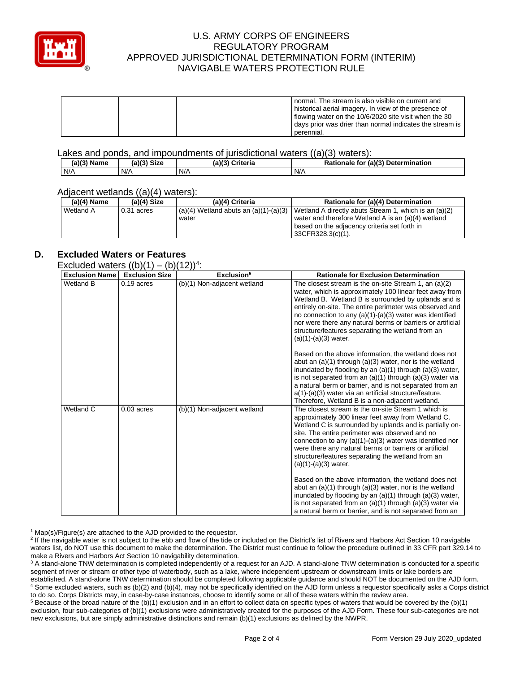

|  | normal. The stream is also visible on current and<br>historical aerial imagery. In view of the presence of |  |
|--|------------------------------------------------------------------------------------------------------------|--|
|  |                                                                                                            |  |
|  | If lowing water on the 10/6/2020 site visit when the 30                                                    |  |
|  | days prior was drier than normal indicates the stream is                                                   |  |
|  | perennial.                                                                                                 |  |

Lakes and ponds, and impoundments of jurisdictional waters ((a)(3) waters):

| $(a)(3)$ M<br>Name | <b>Size</b><br>(a) | (a)(3)<br>Criteria | (a)(3) Determination<br>Rationale<br>tor |
|--------------------|--------------------|--------------------|------------------------------------------|
| N/A                | N/A                | N/A                | N/A                                      |

#### Adjacent wetlands ((a)(4) waters):

| $(a)(4)$ Name | (a)(4) Size  | (a)(4) Criteria                                    | Rationale for (a)(4) Determination                                                                          |  |
|---------------|--------------|----------------------------------------------------|-------------------------------------------------------------------------------------------------------------|--|
| Wetland A     | $0.31$ acres | $(a)(4)$ Wetland abuts an $(a)(1)-(a)(3)$<br>water | Wetland A directly abuts Stream 1, which is an (a)(2)<br>water and therefore Wetland A is an (a)(4) wetland |  |
|               |              |                                                    | I based on the adjacency criteria set forth in<br>33CFR328.3(c)(1).                                         |  |

## **D. Excluded Waters or Features**

Excluded waters  $((b)(1) - (b)(12))^4$ :

| <b>Exclusion Name</b> | $\sim$ (1 $\sim$ /1 $\cdot$ /<br><b>Exclusion Size</b> | (0, 1)<br>Exclusion <sup>5</sup> | <b>Rationale for Exclusion Determination</b>                                                                                                                                                                                                                                                                                                                                                                                                                                                                                                                                                                                                                                                               |
|-----------------------|--------------------------------------------------------|----------------------------------|------------------------------------------------------------------------------------------------------------------------------------------------------------------------------------------------------------------------------------------------------------------------------------------------------------------------------------------------------------------------------------------------------------------------------------------------------------------------------------------------------------------------------------------------------------------------------------------------------------------------------------------------------------------------------------------------------------|
| Wetland B             | $0.19$ acres                                           | (b)(1) Non-adjacent wetland      | The closest stream is the on-site Stream 1, an $(a)(2)$<br>water, which is approximately 100 linear feet away from<br>Wetland B. Wetland B is surrounded by uplands and is<br>entirely on-site. The entire perimeter was observed and<br>no connection to any $(a)(1)-(a)(3)$ water was identified<br>nor were there any natural berms or barriers or artificial<br>structure/features separating the wetland from an<br>$(a)(1)$ - $(a)(3)$ water.<br>Based on the above information, the wetland does not<br>abut an $(a)(1)$ through $(a)(3)$ water, nor is the wetland<br>inundated by flooding by an $(a)(1)$ through $(a)(3)$ water,<br>is not separated from an $(a)(1)$ through $(a)(3)$ water via |
|                       |                                                        |                                  | a natural berm or barrier, and is not separated from an<br>$a(1)$ - $(a)(3)$ water via an artificial structure/feature.<br>Therefore, Wetland B is a non-adjacent wetland.                                                                                                                                                                                                                                                                                                                                                                                                                                                                                                                                 |
| Wetland C             | $0.03$ acres                                           | (b)(1) Non-adjacent wetland      | The closest stream is the on-site Stream 1 which is<br>approximately 300 linear feet away from Wetland C.<br>Wetland C is surrounded by uplands and is partially on-<br>site. The entire perimeter was observed and no<br>connection to any $(a)(1)$ - $(a)(3)$ water was identified nor<br>were there any natural berms or barriers or artificial<br>structure/features separating the wetland from an<br>$(a)(1)-(a)(3)$ water.                                                                                                                                                                                                                                                                          |
|                       |                                                        |                                  | Based on the above information, the wetland does not<br>abut an $(a)(1)$ through $(a)(3)$ water, nor is the wetland<br>inundated by flooding by an $(a)(1)$ through $(a)(3)$ water,<br>is not separated from an $(a)(1)$ through $(a)(3)$ water via<br>a natural berm or barrier, and is not separated from an                                                                                                                                                                                                                                                                                                                                                                                             |

 $1$  Map(s)/Figure(s) are attached to the AJD provided to the requestor.

<sup>2</sup> If the navigable water is not subject to the ebb and flow of the tide or included on the District's list of Rivers and Harbors Act Section 10 navigable waters list, do NOT use this document to make the determination. The District must continue to follow the procedure outlined in 33 CFR part 329.14 to make a Rivers and Harbors Act Section 10 navigability determination.

<sup>3</sup> A stand-alone TNW determination is completed independently of a request for an AJD. A stand-alone TNW determination is conducted for a specific segment of river or stream or other type of waterbody, such as a lake, where independent upstream or downstream limits or lake borders are established. A stand-alone TNW determination should be completed following applicable guidance and should NOT be documented on the AJD form. <sup>4</sup> Some excluded waters, such as (b)(2) and (b)(4), may not be specifically identified on the AJD form unless a requestor specifically asks a Corps district to do so. Corps Districts may, in case-by-case instances, choose to identify some or all of these waters within the review area.

 $5$  Because of the broad nature of the (b)(1) exclusion and in an effort to collect data on specific types of waters that would be covered by the (b)(1) exclusion, four sub-categories of (b)(1) exclusions were administratively created for the purposes of the AJD Form. These four sub-categories are not new exclusions, but are simply administrative distinctions and remain (b)(1) exclusions as defined by the NWPR.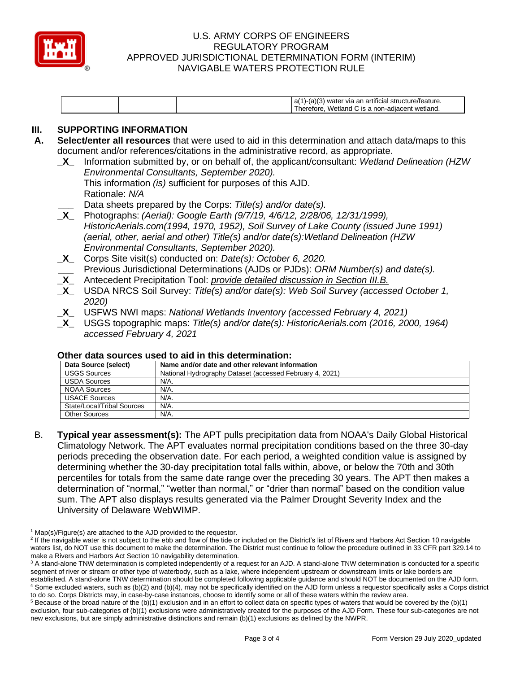

| ⊥a(′<br>ı an artıtıcıal.<br>wate.<br><b>VIA</b><br>re/reature.<br>wetland<br>- Wation<br>$R^2$<br>non-adiac<br>.nr<br>етоге<br>or |
|-----------------------------------------------------------------------------------------------------------------------------------|
|-----------------------------------------------------------------------------------------------------------------------------------|

# **III. SUPPORTING INFORMATION**

- **A. Select/enter all resources** that were used to aid in this determination and attach data/maps to this document and/or references/citations in the administrative record, as appropriate.
	- **\_X\_** Information submitted by, or on behalf of, the applicant/consultant: *Wetland Delineation (HZW Environmental Consultants, September 2020).* This information *(is)* sufficient for purposes of this AJD. Rationale: *N/A*
	- **\_\_\_** Data sheets prepared by the Corps: *Title(s) and/or date(s).*
	- **\_X\_** Photographs: *(Aerial): Google Earth (9/7/19, 4/6/12, 2/28/06, 12/31/1999), HistoricAerials.com(1994, 1970, 1952), Soil Survey of Lake County (issued June 1991) (aerial, other, aerial and other) Title(s) and/or date(s):Wetland Delineation (HZW Environmental Consultants, September 2020).*
	- **\_X\_** Corps Site visit(s) conducted on: *Date(s): October 6, 2020.* **\_\_\_** Previous Jurisdictional Determinations (AJDs or PJDs): *ORM Number(s) and date(s).*
	- **\_X\_** Antecedent Precipitation Tool: *provide detailed discussion in Section III.B.*
	- **\_X\_** USDA NRCS Soil Survey: *Title(s) and/or date(s): Web Soil Survey (accessed October 1, 2020)*
	- **\_X\_** USFWS NWI maps: *National Wetlands Inventory (accessed February 4, 2021)*
	- **\_X\_** USGS topographic maps: *Title(s) and/or date(s): HistoricAerials.com (2016, 2000, 1964) accessed February 4, 2021*

### **Other data sources used to aid in this determination:**

| Data Source (select)       | Name and/or date and other relevant information          |
|----------------------------|----------------------------------------------------------|
| <b>USGS Sources</b>        | National Hydrography Dataset (accessed February 4, 2021) |
| <b>USDA Sources</b>        | N/A.                                                     |
| <b>NOAA Sources</b>        | N/A.                                                     |
| <b>USACE Sources</b>       | N/A.                                                     |
| State/Local/Tribal Sources | N/A.                                                     |
| <b>Other Sources</b>       | N/A.                                                     |

B. **Typical year assessment(s):** The APT pulls precipitation data from NOAA's Daily Global Historical Climatology Network. The APT evaluates normal precipitation conditions based on the three 30-day periods preceding the observation date. For each period, a weighted condition value is assigned by determining whether the 30-day precipitation total falls within, above, or below the 70th and 30th percentiles for totals from the same date range over the preceding 30 years. The APT then makes a determination of "normal," "wetter than normal," or "drier than normal" based on the condition value sum. The APT also displays results generated via the Palmer Drought Severity Index and the University of Delaware WebWIMP.

 $1$  Map(s)/Figure(s) are attached to the AJD provided to the requestor.

<sup>&</sup>lt;sup>2</sup> If the navigable water is not subject to the ebb and flow of the tide or included on the District's list of Rivers and Harbors Act Section 10 navigable waters list, do NOT use this document to make the determination. The District must continue to follow the procedure outlined in 33 CFR part 329.14 to make a Rivers and Harbors Act Section 10 navigability determination.

<sup>&</sup>lt;sup>3</sup> A stand-alone TNW determination is completed independently of a request for an AJD. A stand-alone TNW determination is conducted for a specific segment of river or stream or other type of waterbody, such as a lake, where independent upstream or downstream limits or lake borders are established. A stand-alone TNW determination should be completed following applicable guidance and should NOT be documented on the AJD form. <sup>4</sup> Some excluded waters, such as (b)(2) and (b)(4), may not be specifically identified on the AJD form unless a requestor specifically asks a Corps district to do so. Corps Districts may, in case-by-case instances, choose to identify some or all of these waters within the review area.

 $5$  Because of the broad nature of the (b)(1) exclusion and in an effort to collect data on specific types of waters that would be covered by the (b)(1) exclusion, four sub-categories of (b)(1) exclusions were administratively created for the purposes of the AJD Form. These four sub-categories are not new exclusions, but are simply administrative distinctions and remain (b)(1) exclusions as defined by the NWPR.